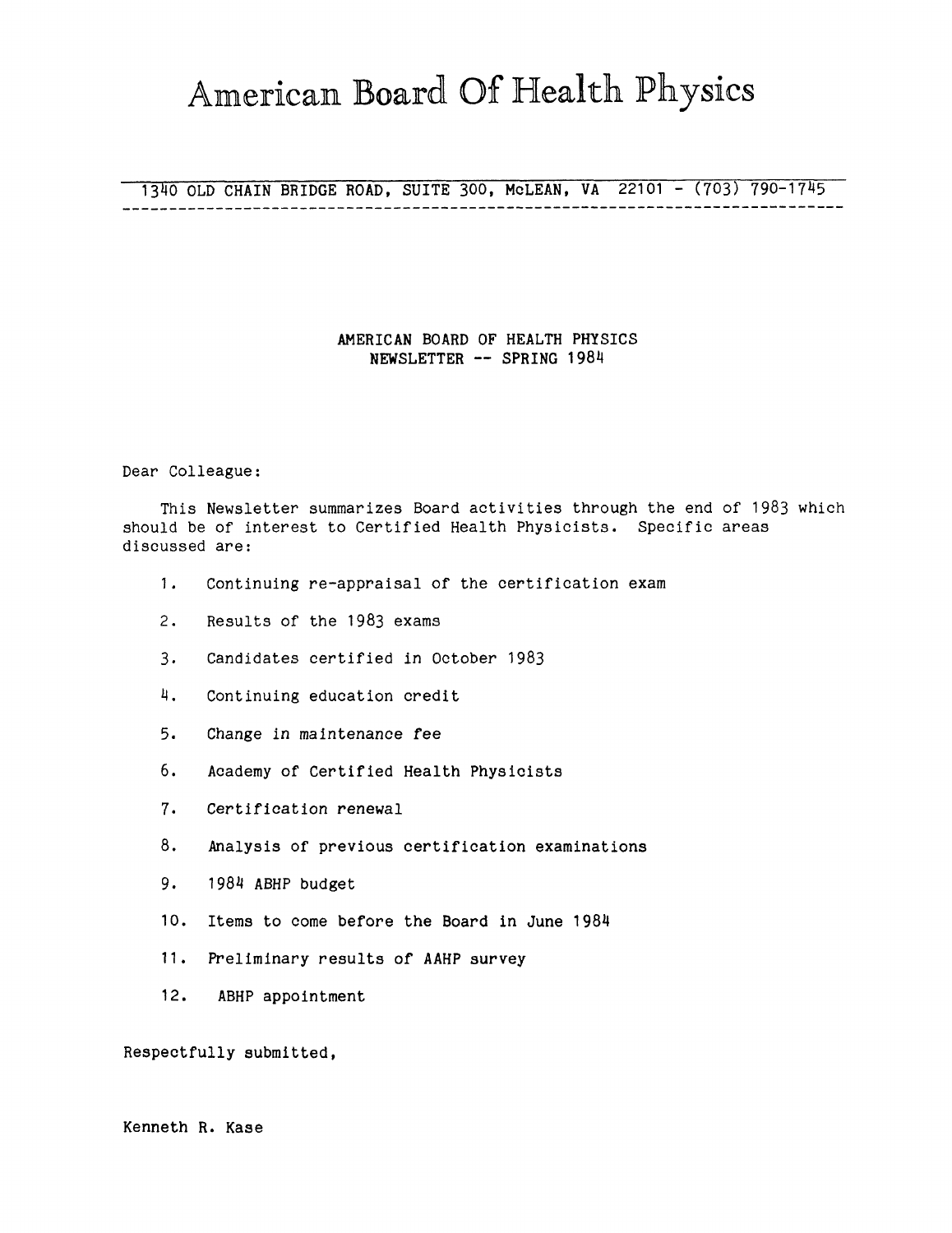# American Board Of Health Physics

# 1340 OLD CHAIN BRIDGE ROAD, SUITE 300, McLEAN, VA 22101 - (703) 790-1745

## **AMERICAN BOARD OF HEALTH PHYSICS NEWSLETTER** -- **SPRING 1984**

Dear Colleague:

This Newsletter summarizes Board activities through the end of 1983 which should be of interest to Certified Health Physicists. Specific areas discussed are:

- 1. Continuing re-appraisal of the certification exam
- 2. Results of the 1983 exams
- 3, Candidates certified in October 1983
- 4. Continuing education credit
- 5. Change in maintenance fee
- 6. Academy of Certified Health Physicists
- 7. Certification renewal
- 8. Analysis of previous certification examinations
- 9. 1984 ABHP budget
- 10. Items to come before the Board in June 1984
- 11. Preliminary results of AAHP survey
- 12. ABHP appointment

Respectfully submitted,

Kenneth R. Kase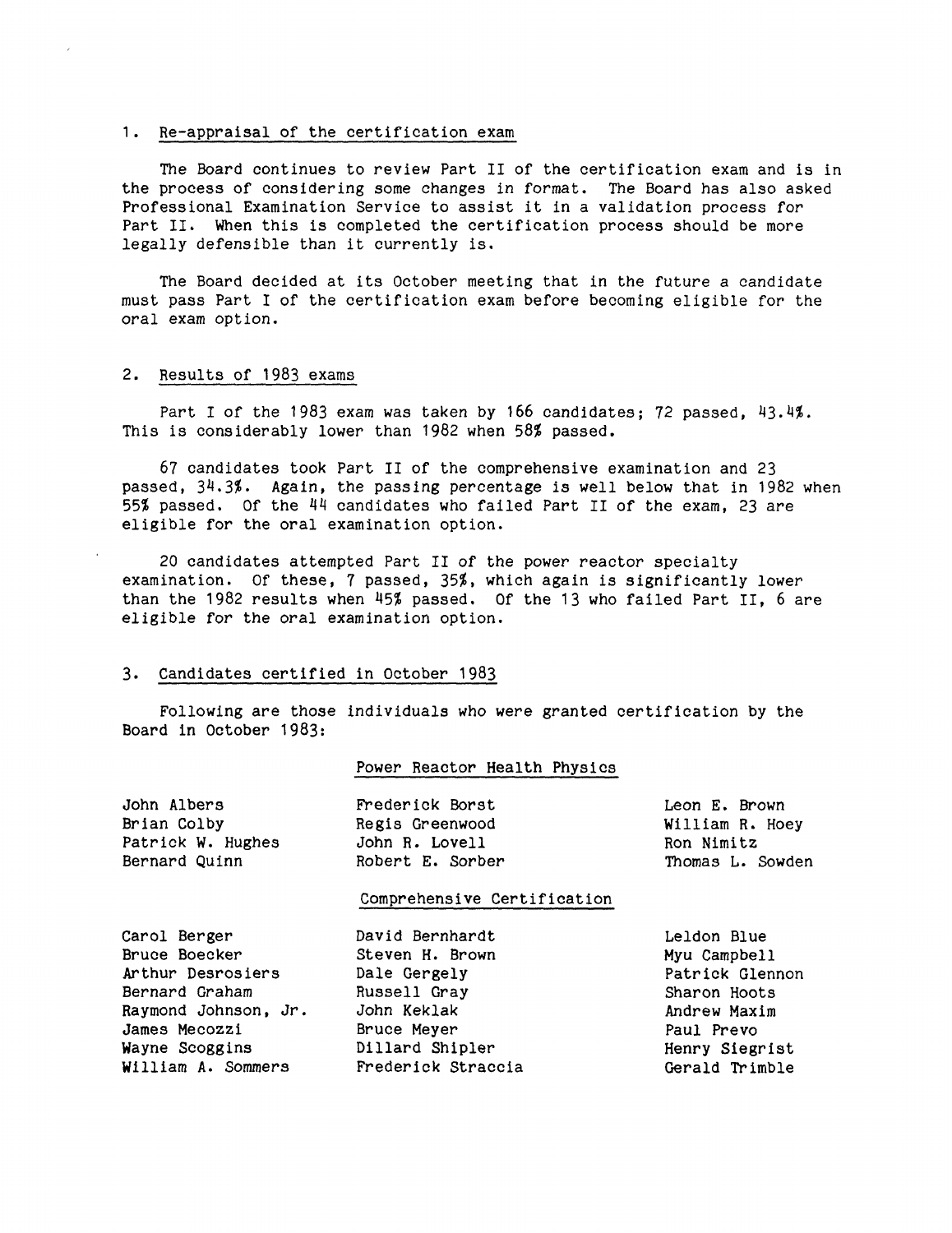#### 1. Re-appraisal of the certification exam

The Board continues to review Part II of the certification exam and is in the process of considering some changes in format. The Board has also asked Professional Examination Service to assist it in a validation process for Part II. When this is completed the certification process should be more legally defensible than it currently is.

The Board decided at its October meeting that in the future a candidate must pass Part I of the certification exam before becoming eligible for the oral exam option.

#### 2. Results of 1983 exams

Part I of the 1983 exam was taken by 166 candidates; 72 passed, 43.4%. This is considerably lower than 1982 when 58% passed.

67 candidates took Part II of the comprehensive examination and 23 passed, 34.3%. Again, the passing percentage is well below that in 1982 when 55% passed. Of the 44 candidates who failed Part II of the exam, 23 are eligible for the oral examination option.

20 candidates attempted Part II of the power reactor specialty examination. Of these, 7 passed, 35%, which again is significantly lower than the 1982 results when 45% passed. Of the 13 who failed Part II, 6 are eligible for the oral examination option.

#### 3. Candidates certified in October 1983

Following are those individuals who were granted certification by the Board in October 1983:

#### Power Reactor Health Physics

| John Albers       | Frederick Borst  | Leon E. Brown    |
|-------------------|------------------|------------------|
| Brian Colby       | Regis Greenwood  | William R. Hoey  |
| Patrick W. Hughes | John R. Lovell   | Ron Nimitz       |
| Bernard Quinn     | Robert E. Sorber | Thomas L. Sowden |
|                   |                  |                  |

#### Comprehensive Certification

| Carol Berger<br>David Bernhardt          | Leldon Blue     |
|------------------------------------------|-----------------|
| Bruce Boecker<br>Steven H. Brown         | Myu Campbell    |
| Arthur Desrosiers<br>Dale Gergely        | Patrick Glennon |
| Bernard Graham<br>Russell Gray           | Sharon Hoots    |
| John Keklak<br>Raymond Johnson, Jr.      | Andrew Maxim    |
| James Mecozzi<br>Bruce Meyer             | Paul Prevo      |
| Dillard Shipler<br>Wayne Scoggins        | Henry Siegrist  |
| William A. Sommers<br>Frederick Straccia | Gerald Trimble  |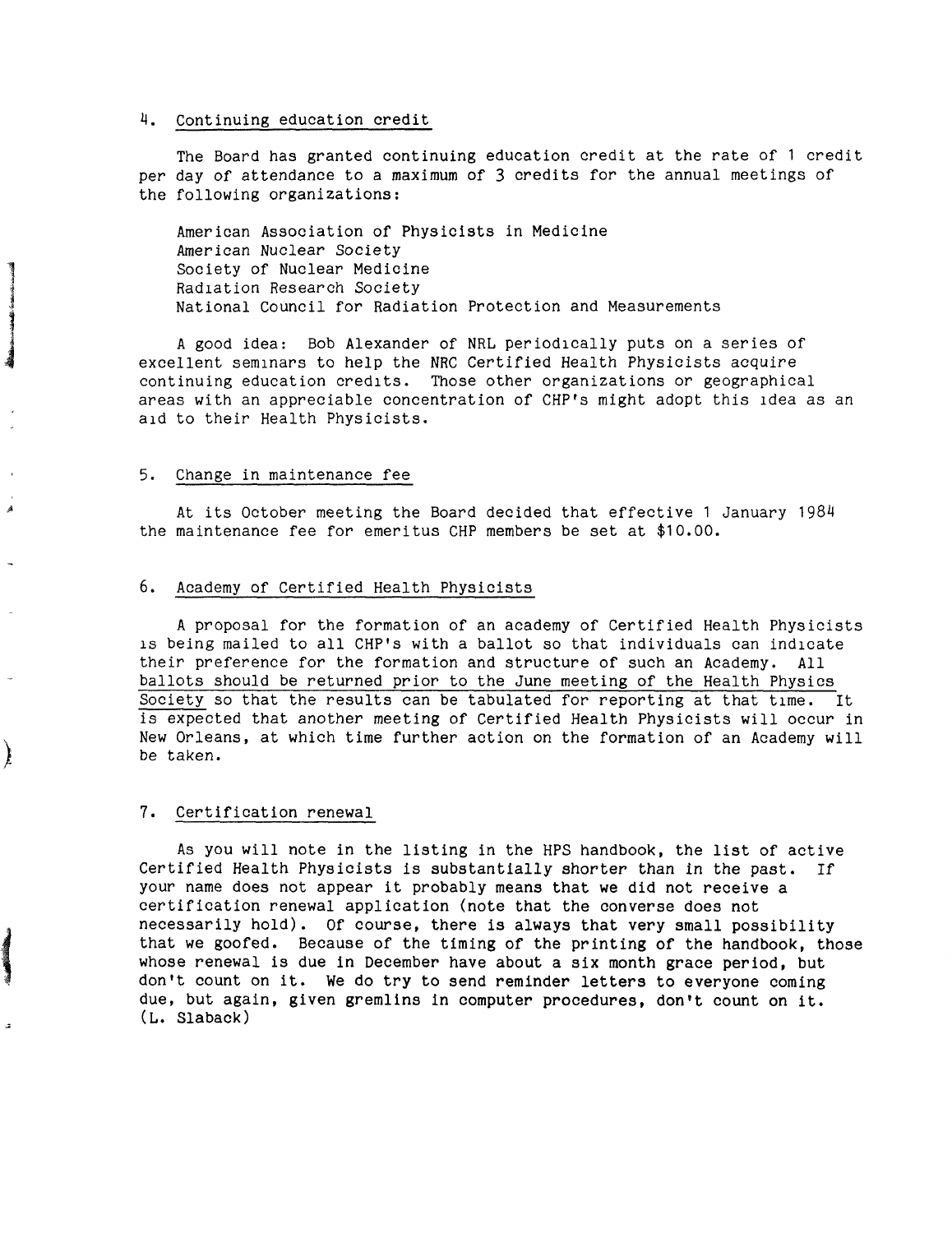#### 4. Continuing education credit

The Board has granted continuing education credit at the rate of 1 credit per day of attendance to a maximum of 3 credits for the annual meetings of the following organizations:

American Association of Physicists in Medicine American Nuclear Society Society of Nuclear Medicine Radiation Research Society National Council for Radiation Protection and Measurements

A good idea: Bob Alexander of NRL periodically puts on a series of excellent seminars to help the NRC Certified Health Physicists acquire continuing education credits. Those other organizations or geographical areas with an appreciable concentration of CHP's might adopt this idea as an aid to their Health Physicists.

#### 5. Change in maintenance fee

**Manifestation** 

j

 $\left( \begin{array}{c} 1 \ 1 \end{array} \right)$ 

Á

At its October meeting the Board decided that effective 1 January 1984 the maintenance fee for emeritus CHP members be set at \$10.00.

#### 6. Academy of Certified Health Physicists

A proposal for the formation of an academy of Certified Health Physicists is being mailed to all CHP's with a ballot so that individuals can indicate their preference for the formation and structure of such an Academy. All ballots should be returned prior to the June meeting of the Health Physics Society so that the results can be tabulated for reporting at that time. It is expected that another meeting of Certified Health Physicists will occur in New Orleans, at which time further action on the formation of an Academy will be taken.

#### 7, Certification renewal

As you will note in the listing in the HPS handbook, the list of active Certified Health Physicists is substantially shorter than in the past. If your name does not appear it probably means that **we** did not receive a certification renewal application (note that the converse does not necessarily hold). Of course, there is always that very small possibility that we goofed. Because of the timing of the printing of the handbook, those whose renewal is due in December have about a six month grace period, but don't count on it. We do try to send reminder letters to everyone coming due, but again, given gremlins in computer procedures, don't count on it. **(L, Slaback)**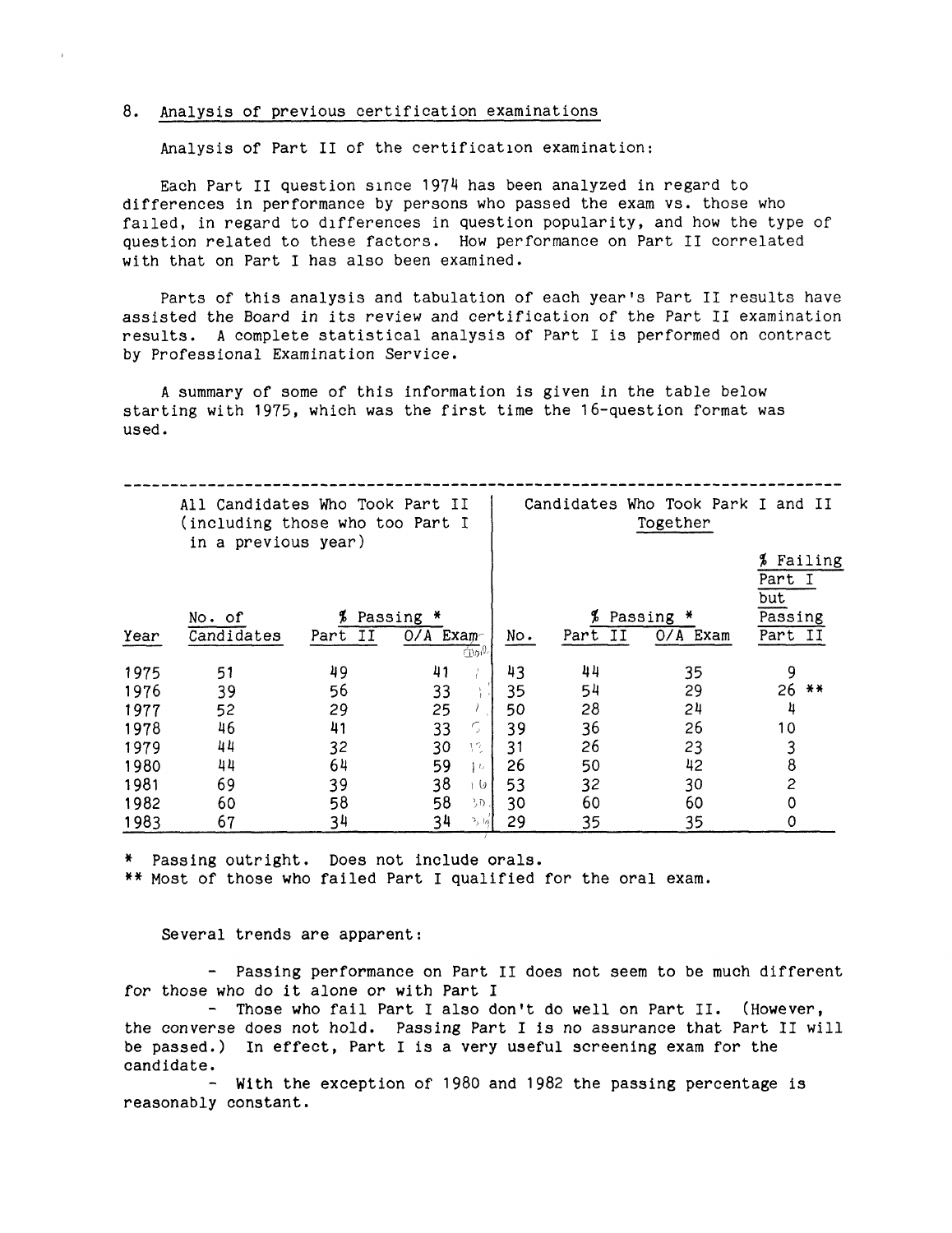#### 8. Analysis of previous certification examinations

Analysis of Part II of the certification examination:

Each Part II question since 1974 has been analyzed in regard to differences in performance by persons who passed the exam vs. those who failed, in regard to differences in question popularity, and how the type of question related to these factors. How performance on Part II correlated with that on Part I has also been examined.

Parts of this analysis and tabulation of each year's Part II results have assisted the Board *in* its review and certification of the Part II examination results. A complete statistical analysis of Part I is performed on contract by Professional Examination Service.

A summary of some of this information is given in the table below starting with 1975, which was the first time the 16-question format was used.

|      | All Candidates Who Took Part II<br>(including those who too Part I<br>in a previous year) |         |              | Candidates Who Took Park I and II<br>Together |     |         |            |                    |         |
|------|-------------------------------------------------------------------------------------------|---------|--------------|-----------------------------------------------|-----|---------|------------|--------------------|---------|
|      |                                                                                           |         |              |                                               |     |         |            | Ъ<br>Part I<br>but | Failing |
|      | No. of                                                                                    | Ъ       | Passing<br>₩ |                                               |     | Ъ       | Passing *  | Passing            |         |
| Year | Candidates                                                                                | Part II | $O/A$ Exam-  | mo <sup>n</sup>                               | No. | Part II | $O/A$ Exam | Part               | II      |
| 1975 | 51                                                                                        | 49      | 41           |                                               | 43  | 44      | 35         | 9                  |         |
| 1976 | 39                                                                                        | 56      | 33           |                                               | 35  | 54      | 29         | 26                 | $***$   |
| 1977 | 52                                                                                        | 29      | 25           |                                               | 50  | 28      | 24         | 4                  |         |
| 1978 | 46                                                                                        | 41      | 33           | $\mathcal{L}_{\mathcal{L}}$                   | 39  | 36      | 26         | 10                 |         |
| 1979 | 44                                                                                        | 32      | 30           | 13.                                           | 31  | 26      | 23         | 3                  |         |
| 1980 | 44                                                                                        | 64      | 59           | $\epsilon$                                    | 26  | 50      | 42         | 8                  |         |
| 1981 | 69                                                                                        | 39      | 38           | 1 O I                                         | 53  | 32      | 30         | 2                  |         |
| 1982 | 60                                                                                        | 58      | 58           | リリー                                           | 30  | 60      | 60         | 0                  |         |
| 1983 | 67                                                                                        | 34      | 34           | $^{2}$ ( <i>a</i> )                           | 29  | 35      | 35         | 0                  |         |

\* Passing outright. Does not include orals.

\*\* Most of those who failed Part I qualified for the oral exam.

#### Several trends are apparent:

- Passing performance on Part II does not seem to be much different for those who do it alone or with Part I

- Those who fail Part I also don't do well on Part II. (However, the converse does not hold. Passing Part I is no assurance that Part II will be passed.) In effect, Part I is a very useful screening exam for the

candidate. - **With** the exception of 1980 and 1982 the passing percentage is reasonably constant.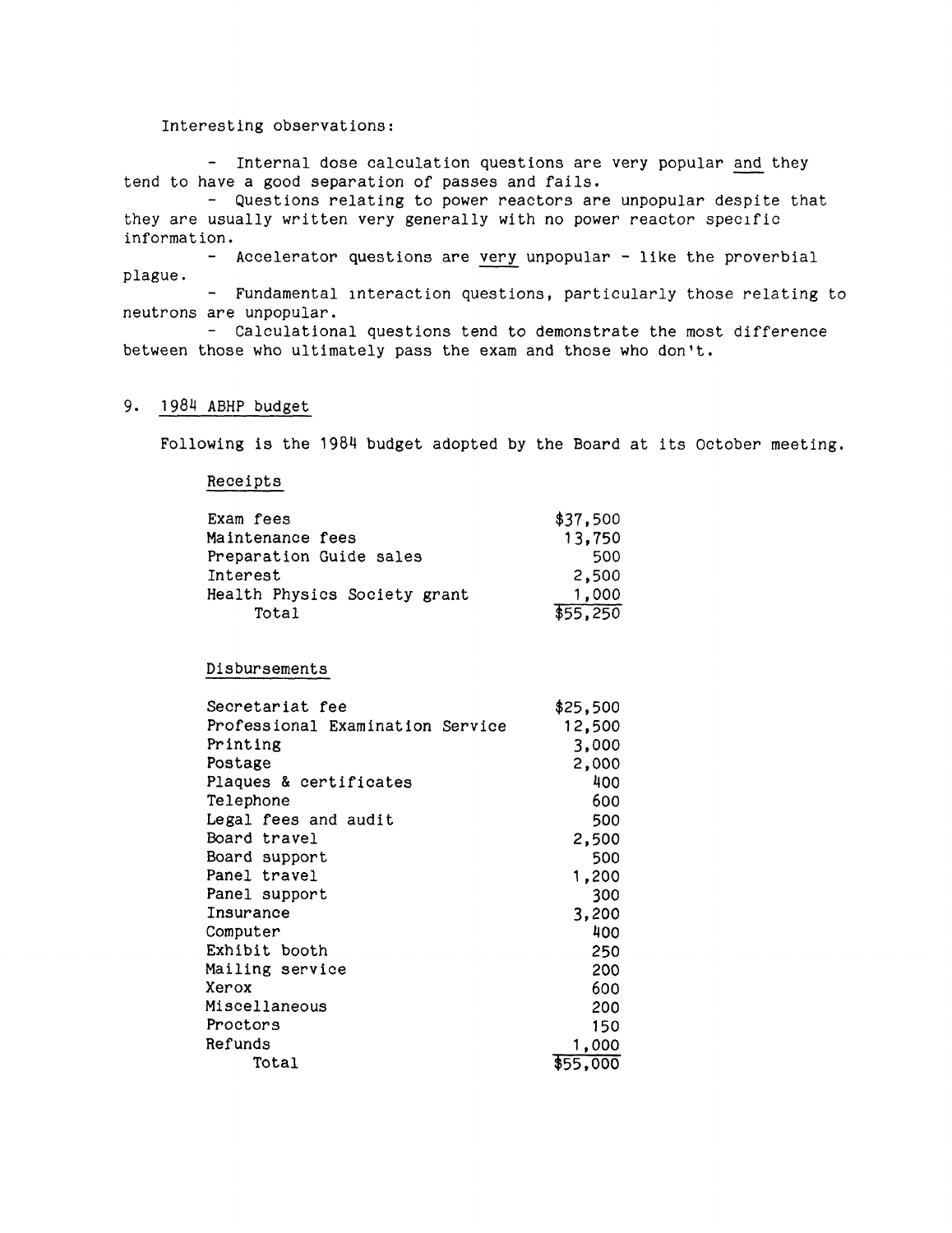#### Interesting observations:

- Internal dose calculation questions are very popular and they tend to have a good separation of passes and fails.

- Questions relating to power reactors are unpopular despite that they are usually written very generally with no power reactor specific information.

- Accelerator questions are very unpopular - like the proverbial plague.

- Fundamental interaction questions, particularly those relating to neutrons are unpopular.

- Calculational questions tend to demonstrate the most difference between those who ultimately pass the exam and those who don't.

#### 9, 1984 ABHP budget

Following is the 1984 budget adopted by the Board at its October meeting.

#### Receipts

| Exam fees                    | \$37,500 |
|------------------------------|----------|
| Maintenance fees             | 13,750   |
| Preparation Guide sales      | 500      |
| Interest                     | 2,500    |
| Health Physics Society grant | 1,000    |
| Total                        | \$55.250 |

Disbursements

| Secretariat fee                  | \$25,500 |
|----------------------------------|----------|
| Professional Examination Service | 12,500   |
| Printing                         | 3,000    |
| Postage                          | 2,000    |
| Plaques & certificates           | 400      |
| Telephone                        | 600      |
| Legal fees and audit             | 500      |
| Board travel                     | 2,500    |
| Board support                    | 500      |
| Panel travel                     | 1,200    |
| Panel support                    | 300      |
| Insurance                        | 3,200    |
| Computer                         | 400      |
| Exhibit booth                    | 250      |
| Mailing service                  | 200      |
| Xerox                            | 600      |
| Miscellaneous                    | 200      |
| Proctors                         | 150      |
| Refunds                          | 1,000    |
| Total                            | \$55.000 |